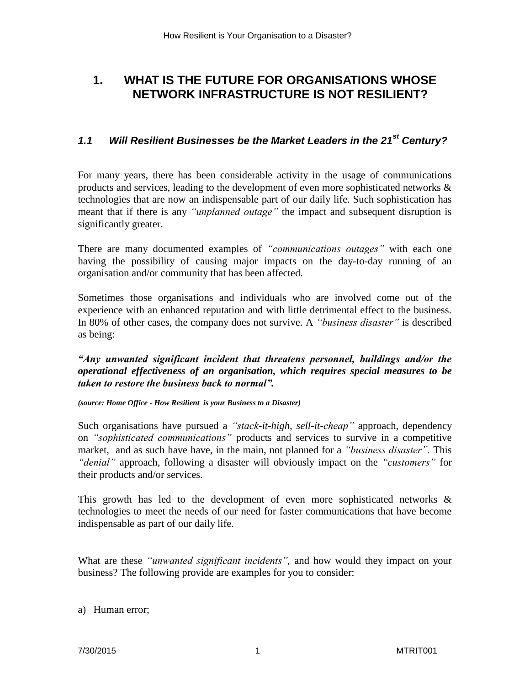# **1. WHAT IS THE FUTURE FOR ORGANISATIONS WHOSE NETWORK INFRASTRUCTURE IS NOT RESILIENT?**

### *1.1 Will Resilient Businesses be the Market Leaders in the 21st Century?*

For many years, there has been considerable activity in the usage of communications products and services, leading to the development of even more sophisticated networks & technologies that are now an indispensable part of our daily life. Such sophistication has meant that if there is any *"unplanned outage"* the impact and subsequent disruption is significantly greater.

There are many documented examples of *"communications outages"* with each one having the possibility of causing major impacts on the day-to-day running of an organisation and/or community that has been affected.

Sometimes those organisations and individuals who are involved come out of the experience with an enhanced reputation and with little detrimental effect to the business. In 80% of other cases, the company does not survive. A *"business disaster"* is described as being:

*"Any unwanted significant incident that threatens personnel, buildings and/or the operational effectiveness of an organisation, which requires special measures to be taken to restore the business back to normal".* 

*(source: Home Office - How Resilient is your Business to a Disaster)*

Such organisations have pursued a *"stack-it-high, sell-it-cheap"* approach, dependency on *"sophisticated communications"* products and services to survive in a competitive market, and as such have have, in the main, not planned for a *"business disaster".* This *"denial"* approach, following a disaster will obviously impact on the *"customers"* for their products and/or services.

This growth has led to the development of even more sophisticated networks & technologies to meet the needs of our need for faster communications that have become indispensable as part of our daily life.

What are these *"unwanted significant incidents",* and how would they impact on your business? The following provide are examples for you to consider:

a) Human error;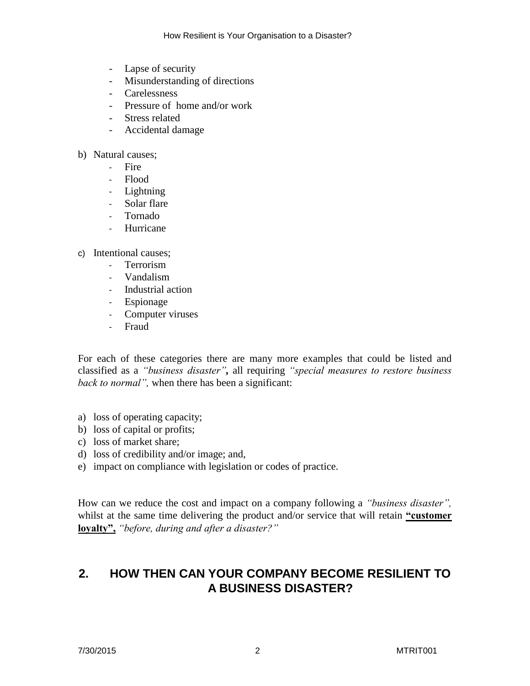- Lapse of security
- Misunderstanding of directions
- Carelessness
- Pressure of home and/or work
- Stress related
- Accidental damage
- b) Natural causes;
	- Fire
	- Flood
	- Lightning
	- Solar flare
	- Tornado
	- Hurricane
- c) Intentional causes;
	- Terrorism
	- Vandalism
	- Industrial action
	- Espionage
	- Computer viruses
	- Fraud

For each of these categories there are many more examples that could be listed and classified as a *"business disaster",* all requiring *"special measures to restore business back to normal",* when there has been a significant:

- a) loss of operating capacity;
- b) loss of capital or profits;
- c) loss of market share;
- d) loss of credibility and/or image; and,
- e) impact on compliance with legislation or codes of practice.

How can we reduce the cost and impact on a company following a *"business disaster",* whilst at the same time delivering the product and/or service that will retain **"customer loyalty",** *"before, during and after a disaster?"*

# **2. HOW THEN CAN YOUR COMPANY BECOME RESILIENT TO A BUSINESS DISASTER?**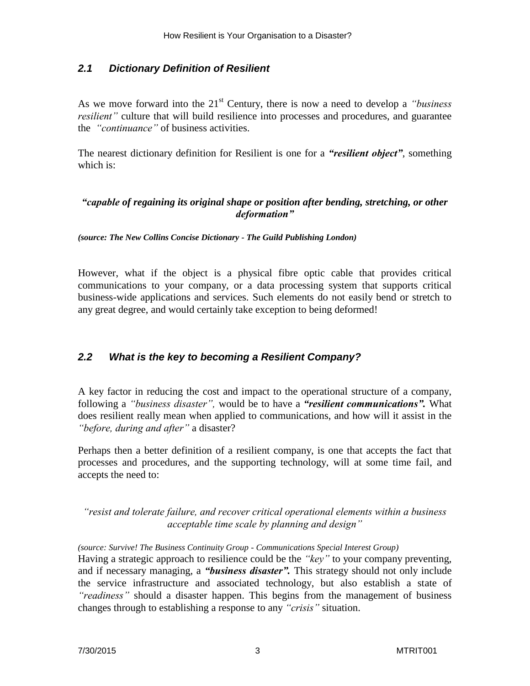#### *2.1 Dictionary Definition of Resilient*

As we move forward into the 21<sup>st</sup> Century, there is now a need to develop a *"business*" *resilient*" culture that will build resilience into processes and procedures, and guarantee the *"continuance"* of business activities.

The nearest dictionary definition for Resilient is one for a *"resilient object"*, something which is:

#### *"capable of regaining its original shape or position after bending, stretching, or other deformation"*

*(source: The New Collins Concise Dictionary - The Guild Publishing London)*

However, what if the object is a physical fibre optic cable that provides critical communications to your company, or a data processing system that supports critical business-wide applications and services. Such elements do not easily bend or stretch to any great degree, and would certainly take exception to being deformed!

#### *2.2 What is the key to becoming a Resilient Company?*

A key factor in reducing the cost and impact to the operational structure of a company, following a *"business disaster",* would be to have a *"resilient communications".* What does resilient really mean when applied to communications, and how will it assist in the *"before, during and after"* a disaster?

Perhaps then a better definition of a resilient company, is one that accepts the fact that processes and procedures, and the supporting technology, will at some time fail, and accepts the need to:

*"resist and tolerate failure, and recover critical operational elements within a business acceptable time scale by planning and design"*

*(source: Survive! The Business Continuity Group - Communications Special Interest Group)* Having a strategic approach to resilience could be the *"key"* to your company preventing, and if necessary managing, a *"business disaster".* This strategy should not only include the service infrastructure and associated technology, but also establish a state of *"readiness"* should a disaster happen. This begins from the management of business changes through to establishing a response to any *"crisis"* situation.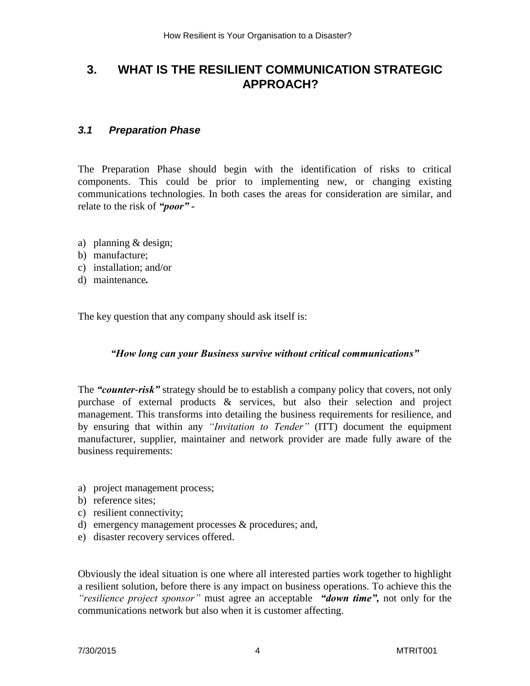# **3. WHAT IS THE RESILIENT COMMUNICATION STRATEGIC APPROACH?**

#### *3.1 Preparation Phase*

The Preparation Phase should begin with the identification of risks to critical components. This could be prior to implementing new, or changing existing communications technologies. In both cases the areas for consideration are similar, and relate to the risk of *"poor" -*

- a) planning & design;
- b) manufacture;
- c) installation; and/or
- d) maintenance*.*

The key question that any company should ask itself is:

#### *"How long can your Business survive without critical communications"*

The *"counter-risk"* strategy should be to establish a company policy that covers, not only purchase of external products & services, but also their selection and project management. This transforms into detailing the business requirements for resilience, and by ensuring that within any *"Invitation to Tender"* (ITT) document the equipment manufacturer, supplier, maintainer and network provider are made fully aware of the business requirements:

- a) project management process;
- b) reference sites;
- c) resilient connectivity;
- d) emergency management processes & procedures; and,
- e) disaster recovery services offered.

Obviously the ideal situation is one where all interested parties work together to highlight a resilient solution, before there is any impact on business operations. To achieve this the *"resilience project sponsor"* must agree an acceptable *"down time",* not only for the communications network but also when it is customer affecting.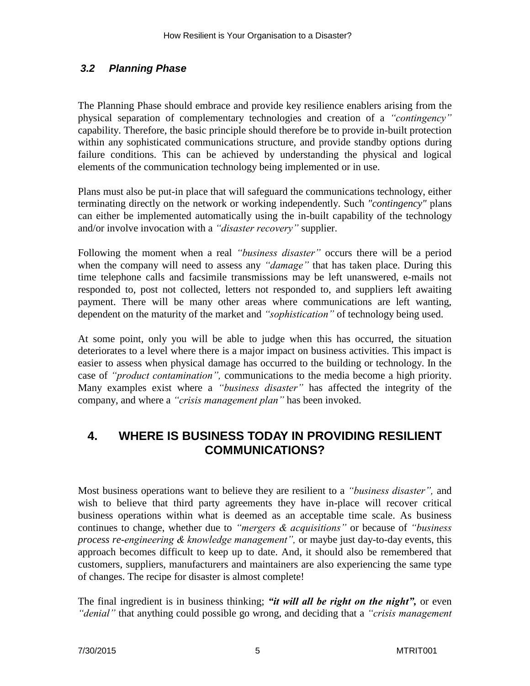### *3.2 Planning Phase*

The Planning Phase should embrace and provide key resilience enablers arising from the physical separation of complementary technologies and creation of a *"contingency"* capability. Therefore, the basic principle should therefore be to provide in-built protection within any sophisticated communications structure, and provide standby options during failure conditions. This can be achieved by understanding the physical and logical elements of the communication technology being implemented or in use.

Plans must also be put-in place that will safeguard the communications technology, either terminating directly on the network or working independently. Such *"contingency"* plans can either be implemented automatically using the in-built capability of the technology and/or involve invocation with a *"disaster recovery"* supplier.

Following the moment when a real *"business disaster"* occurs there will be a period when the company will need to assess any *"damage"* that has taken place. During this time telephone calls and facsimile transmissions may be left unanswered, e-mails not responded to, post not collected, letters not responded to, and suppliers left awaiting payment. There will be many other areas where communications are left wanting, dependent on the maturity of the market and *"sophistication"* of technology being used.

At some point, only you will be able to judge when this has occurred, the situation deteriorates to a level where there is a major impact on business activities. This impact is easier to assess when physical damage has occurred to the building or technology. In the case of *"product contamination",* communications to the media become a high priority. Many examples exist where a *"business disaster"* has affected the integrity of the company, and where a *"crisis management plan"* has been invoked.

### **4. WHERE IS BUSINESS TODAY IN PROVIDING RESILIENT COMMUNICATIONS?**

Most business operations want to believe they are resilient to a *"business disaster",* and wish to believe that third party agreements they have in-place will recover critical business operations within what is deemed as an acceptable time scale. As business continues to change, whether due to *"mergers & acquisitions"* or because of *"business process re-engineering & knowledge management",* or maybe just day-to-day events, this approach becomes difficult to keep up to date. And, it should also be remembered that customers, suppliers, manufacturers and maintainers are also experiencing the same type of changes. The recipe for disaster is almost complete!

The final ingredient is in business thinking; *"it will all be right on the night",* or even *"denial"* that anything could possible go wrong, and deciding that a *"crisis management*